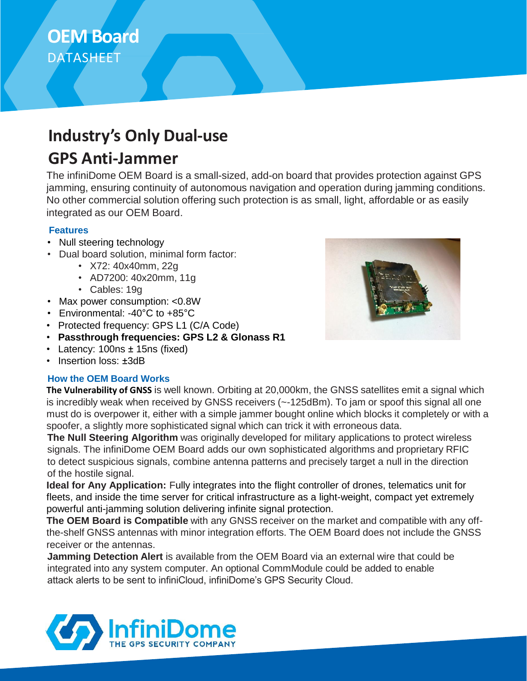# **OEM Board**  DATASHEET

# **Industry's Only Dual-use**

### **GPS Anti-Jammer**

The infiniDome OEM Board is a small-sized, add-on board that provides protection against GPS jamming, ensuring continuity of autonomous navigation and operation during jamming conditions. No other commercial solution offering such protection is as small, light, affordable or as easily integrated as our OEM Board.

#### **Features**

- Null steering technology
- Dual board solution, minimal form factor:
	- X72: 40x40mm, 22g
	- AD7200: 40x20mm, 11g
	- Cables: 19g
- Max power consumption: <0.8W
- Environmental: -40°C to +85°C
- Protected frequency: GPS L1 (C/A Code)
- **Passthrough frequencies: GPS L2 & Glonass R1**
- Latency: 100ns ± 15ns (fixed)
- Insertion loss: ±3dB

#### **How the OEM Board Works**



**The Vulnerability of GNSS** is well known. Orbiting at 20,000km, the GNSS satellites emit a signal which is incredibly weak when received by GNSS receivers (~-125dBm). To jam or spoof this signal all one must do is overpower it, either with a simple jammer bought online which blocks it completely or with a spoofer, a slightly more sophisticated signal which can trick it with erroneous data.

**The Null Steering Algorithm** was originally developed for military applications to protect wireless signals. The infiniDome OEM Board adds our own sophisticated algorithms and proprietary RFIC to detect suspicious signals, combine antenna patterns and precisely target a null in the direction of the hostile signal.

**Ideal for Any Application:** Fully integrates into the flight controller of drones, telematics unit for fleets, and inside the time server for critical infrastructure as a light-weight, compact yet extremely powerful anti-jamming solution delivering infinite signal protection.

**The OEM Board is Compatible** with any GNSS receiver on the market and compatible with any offthe-shelf GNSS antennas with minor integration efforts. The OEM Board does not include the GNSS receiver or the antennas.

**Jamming Detection Alert** is available from the OEM Board via an external wire that could be integrated into any system computer. An optional CommModule could be added to enable attack alerts to be sent to infiniCloud, infiniDome's GPS Security Cloud.